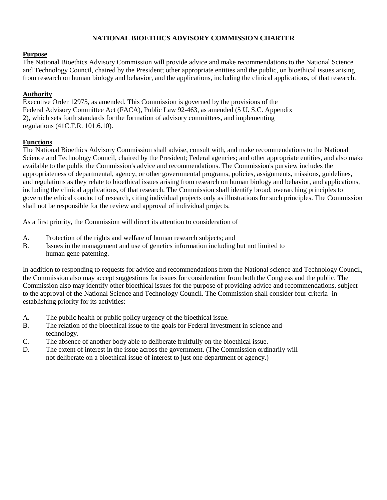# **NATIONAL BIOETHICS ADVISORY COMMISSION CHARTER**

#### **Purpose**

The National Bioethics Advisory Commission will provide advice and make recommendations to the National Science and Technology Council, chaired by the President; other appropriate entities and the public, on bioethical issues arising from research on human biology and behavior, and the applications, including the clinical applications, of that research.

# **Authority**

Executive Order 12975, as amended. This Commission is governed by the provisions of the Federal Advisory Committee Act (FACA), Public Law 92-463, as amended (5 U. S.C. Appendix 2), which sets forth standards for the formation of advisory committees, and implementing regulations (41C.F.R. 101.6.10).

# **Functions**

The National Bioethics Advisory Commission shall advise, consult with, and make recommendations to the National Science and Technology Council, chaired by the President; Federal agencies; and other appropriate entities, and also make available to the public the Commission's advice and recommendations. The Commission's purview includes the appropriateness of departmental, agency, or other governmental programs, policies, assignments, missions, guidelines, and regulations as they relate to bioethical issues arising from research on human biology and behavior, and applications, including the clinical applications, of that research. The Commission shall identify broad, overarching principles to govern the ethical conduct of research, citing individual projects only as illustrations for such principles. The Commission shall not be responsible for the review and approval of individual projects.

As a first priority, the Commission will direct its attention to consideration of

- A. Protection of the rights and welfare of human research subjects; and
- B. Issues in the management and use of genetics information including but not limited to human gene patenting.

In addition to responding to requests for advice and recommendations from the National science and Technology Council, the Commission also may accept suggestions for issues for consideration from both the Congress and the public. The Commission also may identify other bioethical issues for the purpose of providing advice and recommendations, subject to the approval of the National Science and Technology Council. The Commission shall consider four criteria -in establishing priority for its activities:

- A. The public health or public policy urgency of the bioethical issue.
- B. The relation of the bioethical issue to the goals for Federal investment in science and technology.
- C. The absence of another body able to deliberate fruitfully on the bioethical issue.
- D. The extent of interest in the issue across the government. (The Commission ordinarily will not deliberate on a bioethical issue of interest to just one department or agency.)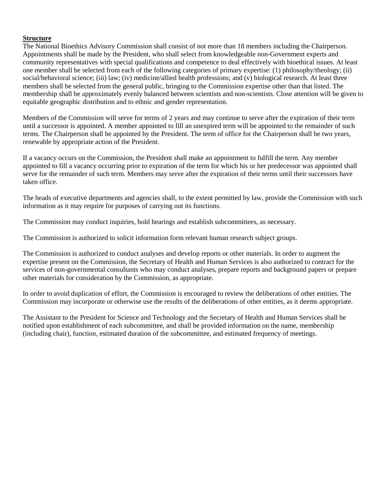#### **Structure**

The National Bioethics Advisory Commission shall consist of not more than 18 members including the Chairperson. Appointments shall be made by the President, who shall select from knowledgeable non-Government experts and community representatives with special qualifications and competence to deal effectively with bioethical issues. At least one member shall be selected from each of the following categories of primary expertise: (1) philosophy/theology; (ii) social/behavioral science; (iii) law; (iv) medicine/allied health professions; and (v) biological research. At least three members shall be selected from the general public, bringing to the Commission expertise other than that listed. The membership shall be approximately evenly balanced between scientists and non-scientists. Close attention will be given to equitable geographic distribution and to ethnic and gender representation.

Members of the Commission will serve for terms of 2 years and may continue to serve after the expiration of their term until a successor is appointed. A member appointed to fill an unexpired term will be appointed to the remainder of such terms. The Chairperson shall be appointed by the President. The term of office for the Chairperson shall be two years, renewable by appropriate action of the President.

If a vacancy occurs on the Commission, the President shall make an appointment to fulfill the term. Any member appointed to fill a vacancy occurring prior to expiration of the term for which his or her predecessor was appointed shall serve for the remainder of such term. Members may serve after the expiration of their terms until their successors have taken office.

The heads of executive departments and agencies shall, to the extent permitted by law, provide the Commission with such information as it may require for purposes of carrying out its functions.

The Commission may conduct inquiries, hold hearings and establish subcommittees, as necessary.

The Commission is authorized to solicit information form relevant human research subject groups.

The Commission is authorized to conduct analyses and develop reports or other materials. In order to augment the expertise present on the Commission, the Secretary of Health and Human Services is also authorized to contract for the services of non-governmental consultants who may conduct analyses, prepare reports and background papers or prepare other materials for consideration by the Commission, as appropriate.

In order to avoid duplication of effort, the Commission is encouraged to review the deliberations of other entities. The Commission may incorporate or otherwise use the results of the deliberations of other entities, as it deems appropriate.

The Assistant to the President for Science and Technology and the Secretary of Health and Human Services shall be notified upon establishment of each subcommittee, and shall be provided information on the name, membership (including chair), function, estimated duration of the subcommittee, and estimated frequency of meetings.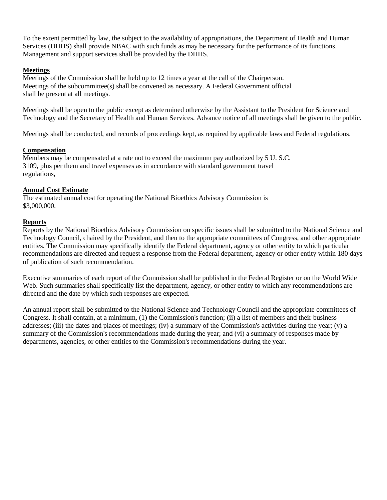To the extent permitted by law, the subject to the availability of appropriations, the Department of Health and Human Services (DHHS) shall provide NBAC with such funds as may be necessary for the performance of its functions. Management and support services shall be provided by the DHHS.

## **Meetings**

Meetings of the Commission shall be held up to 12 times a year at the call of the Chairperson. Meetings of the subcommittee(s) shall be convened as necessary. A Federal Government official shall be present at all meetings.

Meetings shall be open to the public except as determined otherwise by the Assistant to the President for Science and Technology and the Secretary of Health and Human Services. Advance notice of all meetings shall be given to the public.

Meetings shall be conducted, and records of proceedings kept, as required by applicable laws and Federal regulations.

### **Compensation**

Members may be compensated at a rate not to exceed the maximum pay authorized by 5 U. S.C. 3109, plus per them and travel expenses as in accordance with standard government travel regulations,

### **Annual Cost Estimate**

The estimated annual cost for operating the National Bioethics Advisory Commission is \$3,000,000.

### **Reports**

Reports by the National Bioethics Advisory Commission on specific issues shall be submitted to the National Science and Technology Council, chaired by the President, and then to the appropriate committees of Congress, and other appropriate entities. The Commission may specifically identify the Federal department, agency or other entity to which particular recommendations are directed and request a response from the Federal department, agency or other entity within 180 days of publication of such recommendation.

Executive summaries of each report of the Commission shall be published in the Federal Register or on the World Wide Web. Such summaries shall specifically list the department, agency, or other entity to which any recommendations are directed and the date by which such responses are expected.

An annual report shall be submitted to the National Science and Technology Council and the appropriate committees of Congress. It shall contain, at a minimum, (1) the Commission's function; (ii) a list of members and their business addresses; (iii) the dates and places of meetings; (iv) a summary of the Commission's activities during the year; (v) a summary of the Commission's recommendations made during the year; and (vi) a summary of responses made by departments, agencies, or other entities to the Commission's recommendations during the year.